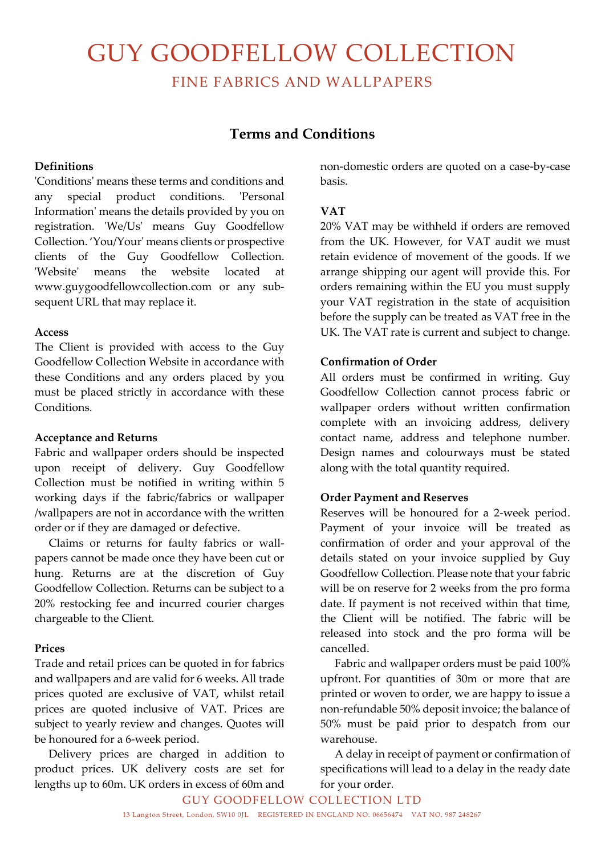# GUY GOODFELLOW COLLECTION FINE FABRICS AND WALLPAPERS

# **Terms and Conditions**

#### **Definitions**

'Conditions' means these terms and conditions and any special product conditions. 'Personal Information' means the details provided by you on registration. 'We/Us' means Guy Goodfellow Collection. 'You/Your' means clients or prospective clients of the Guy Goodfellow Collection. 'Website' means the website located at www.guygoodfellowcollection.com or any subsequent URL that may replace it.

#### **Access**

The Client is provided with access to the Guy Goodfellow Collection Website in accordance with these Conditions and any orders placed by you must be placed strictly in accordance with these Conditions.

#### **Acceptance and Returns**

Fabric and wallpaper orders should be inspected upon receipt of delivery. Guy Goodfellow Collection must be notified in writing within 5 working days if the fabric/fabrics or wallpaper /wallpapers are not in accordance with the written order or if they are damaged or defective.

Claims or returns for faulty fabrics or wallpapers cannot be made once they have been cut or hung. Returns are at the discretion of Guy Goodfellow Collection. Returns can be subject to a 20% restocking fee and incurred courier charges chargeable to the Client.

#### **Prices**

Trade and retail prices can be quoted in for fabrics and wallpapers and are valid for 6 weeks. All trade prices quoted are exclusive of VAT, whilst retail prices are quoted inclusive of VAT. Prices are subject to yearly review and changes. Quotes will be honoured for a 6-week period.

Delivery prices are charged in addition to product prices. UK delivery costs are set for lengths up to 60m. UK orders in excess of 60m and

non-domestic orders are quoted on a case-by-case basis.

### **VAT**

20% VAT may be withheld if orders are removed from the UK. However, for VAT audit we must retain evidence of movement of the goods. If we arrange shipping our agent will provide this. For orders remaining within the EU you must supply your VAT registration in the state of acquisition before the supply can be treated as VAT free in the UK. The VAT rate is current and subject to change.

#### **Confirmation of Order**

All orders must be confirmed in writing. Guy Goodfellow Collection cannot process fabric or wallpaper orders without written confirmation complete with an invoicing address, delivery contact name, address and telephone number. Design names and colourways must be stated along with the total quantity required.

#### **Order Payment and Reserves**

Reserves will be honoured for a 2-week period. Payment of your invoice will be treated as confirmation of order and your approval of the details stated on your invoice supplied by Guy Goodfellow Collection. Please note that your fabric will be on reserve for 2 weeks from the pro forma date. If payment is not received within that time, the Client will be notified. The fabric will be released into stock and the pro forma will be cancelled.

Fabric and wallpaper orders must be paid 100% upfront. For quantities of 30m or more that are printed or woven to order, we are happy to issue a non-refundable 50% deposit invoice; the balance of 50% must be paid prior to despatch from our warehouse.

A delay in receipt of payment or confirmation of specifications will lead to a delay in the ready date for your order.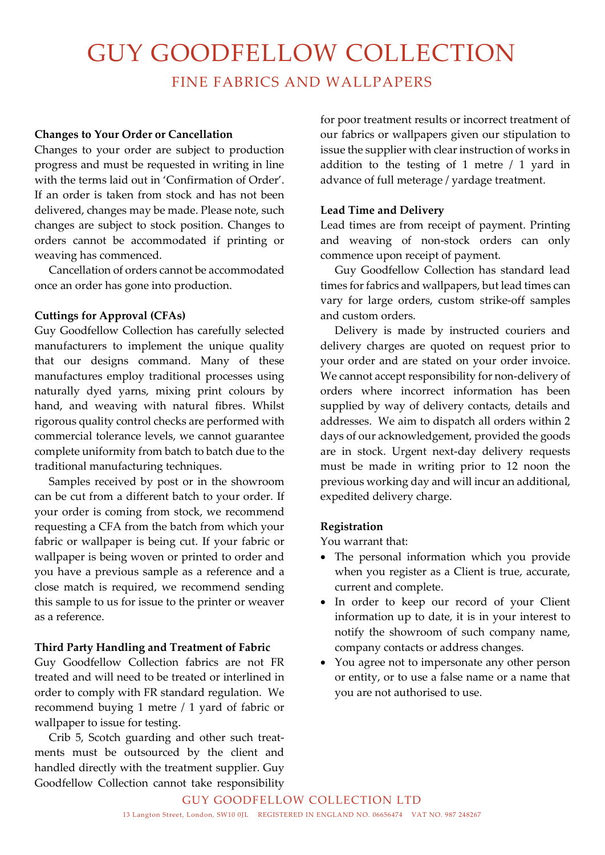# GUY GOODFELLOW COLLECTION

FINE FABRICS AND WALLPAPERS

#### **Changes to Your Order or Cancellation**

Changes to your order are subject to production progress and must be requested in writing in line with the terms laid out in 'Confirmation of Order'. If an order is taken from stock and has not been delivered, changes may be made. Please note, such changes are subject to stock position. Changes to orders cannot be accommodated if printing or weaving has commenced.

Cancellation of orders cannot be accommodated once an order has gone into production.

#### **Cuttings for Approval (CFAs)**

Guy Goodfellow Collection has carefully selected manufacturers to implement the unique quality that our designs command. Many of these manufactures employ traditional processes using naturally dyed yarns, mixing print colours by hand, and weaving with natural fibres. Whilst rigorous quality control checks are performed with commercial tolerance levels, we cannot guarantee complete uniformity from batch to batch due to the traditional manufacturing techniques.

Samples received by post or in the showroom can be cut from a different batch to your order. If your order is coming from stock, we recommend requesting a CFA from the batch from which your fabric or wallpaper is being cut. If your fabric or wallpaper is being woven or printed to order and you have a previous sample as a reference and a close match is required, we recommend sending this sample to us for issue to the printer or weaver as a reference.

#### **Third Party Handling and Treatment of Fabric**

Guy Goodfellow Collection fabrics are not FR treated and will need to be treated or interlined in order to comply with FR standard regulation. We recommend buying 1 metre / 1 yard of fabric or wallpaper to issue for testing.

Crib 5, Scotch guarding and other such treatments must be outsourced by the client and handled directly with the treatment supplier. Guy Goodfellow Collection cannot take responsibility for poor treatment results or incorrect treatment of our fabrics or wallpapers given our stipulation to issue the supplier with clear instruction of works in addition to the testing of 1 metre / 1 yard in advance of full meterage / yardage treatment.

#### **Lead Time and Delivery**

Lead times are from receipt of payment. Printing and weaving of non-stock orders can only commence upon receipt of payment.

Guy Goodfellow Collection has standard lead times for fabrics and wallpapers, but lead times can vary for large orders, custom strike-off samples and custom orders.

Delivery is made by instructed couriers and delivery charges are quoted on request prior to your order and are stated on your order invoice. We cannot accept responsibility for non-delivery of orders where incorrect information has been supplied by way of delivery contacts, details and addresses. We aim to dispatch all orders within 2 days of our acknowledgement, provided the goods are in stock. Urgent next-day delivery requests must be made in writing prior to 12 noon the previous working day and will incur an additional, expedited delivery charge.

#### **Registration**

You warrant that:

- The personal information which you provide when you register as a Client is true, accurate, current and complete.
- In order to keep our record of your Client information up to date, it is in your interest to notify the showroom of such company name, company contacts or address changes.
- You agree not to impersonate any other person or entity, or to use a false name or a name that you are not authorised to use.